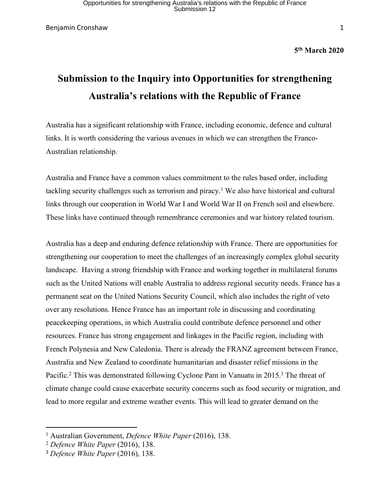Benjamin Cronshaw 1

**5 th March 2020**

## **Submission to the Inquiry into Opportunities for strengthening Australia's relations with the Republic of France**

Australia has a significant relationship with France, including economic, defence and cultural links. It is worth considering the various avenues in which we can strengthen the Franco-Australian relationship.

Australia and France have a common values commitment to the rules based order, including tackling security challenges such as terrorism and piracy.<sup>1</sup> We also have historical and cultural links through our cooperation in World War I and World War II on French soil and elsewhere. These links have continued through remembrance ceremonies and war history related tourism.

Australia has a deep and enduring defence relationship with France. There are opportunities for strengthening our cooperation to meet the challenges of an increasingly complex global security landscape. Having a strong friendship with France and working together in multilateral forums such as the United Nations will enable Australia to address regional security needs. France has a permanent seat on the United Nations Security Council, which also includes the right of veto over any resolutions. Hence France has an important role in discussing and coordinating peacekeeping operations, in which Australia could contribute defence personnel and other resources. France has strong engagement and linkages in the Pacific region, including with French Polynesia and New Caledonia. There is already the FRANZ agreement between France, Australia and New Zealand to coordinate humanitarian and disaster relief missions in the Pacific.<sup>2</sup> This was demonstrated following Cyclone Pam in Vanuatu in 2015.<sup>3</sup> The threat of climate change could cause exacerbate security concerns such as food security or migration, and lead to more regular and extreme weather events. This will lead to greater demand on the

<sup>1</sup> Australian Government, *Defence White Paper* (2016), 138.

<sup>2</sup> *Defence White Paper* (2016), 138.

<sup>3</sup> *Defence White Paper* (2016), 138.